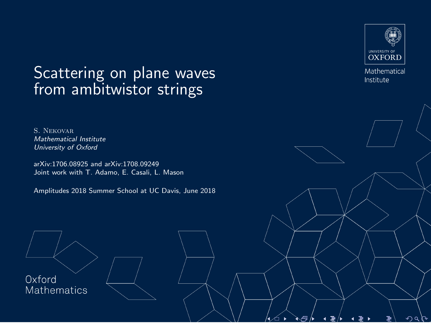# <span id="page-0-0"></span>Scattering on plane waves from ambitwistor strings

S. Nekovar Mathematical Institute University of Oxford

arXiv:1706.08925 and arXiv:1708.09249 Joint work with T. Adamo, E. Casali, L. Mason

Amplitudes 2018 Summer School at UC Davis, June 2018

Oxford **Mathematics** 



Mathematical Institute

つくし

∕⊐ ▶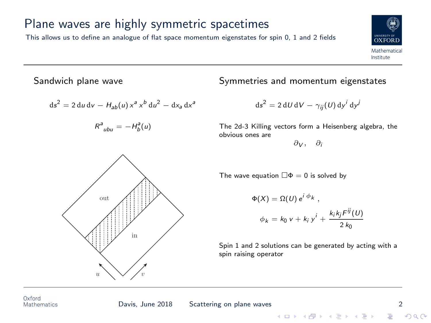## Plane waves are highly symmetric spacetimes

This allows us to define an analogue of flat space momentum eigenstates for spin 0, 1 and 2 fields

Sandwich plane wave

$$
ds^{2} = 2 du dv - H_{ab}(u) x^{a} x^{b} du^{2} - dx_{a} dx^{a}
$$

$$
R^a_{ubu} = -H_b^a(u)
$$



$$
\Phi(X) = \Omega(U) e^{i \phi_k},
$$
  
\n
$$
\phi_k = k_0 v + k_i y^i + \frac{k_i k_j F^{ij}(U)}{2 k_0}
$$

Spin 1 and 2 solutions can be generated by acting with a spin raising operator





 $\mathbb{R}^{n-1}$  $2990$ 

Symmetries and momentum eigenstates

$$
ds^2 = 2 dU dV - \gamma_{ij}(U) dy^i dy^j
$$

The 2d-3 Killing vectors form a Heisenberg algebra, the obvious ones are

 $\partial y$ ,  $\partial$ :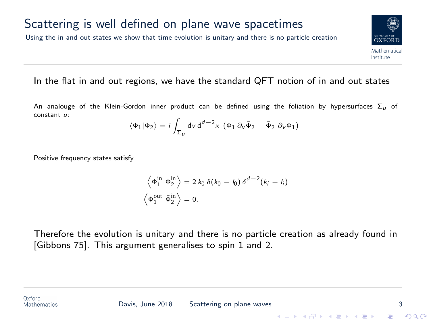### Scattering is well defined on plane wave spacetimes

Using the in and out states we show that time evolution is unitary and there is no particle creation



#### In the flat in and out regions, we have the standard QFT notion of in and out states

An analouge of the Klein-Gordon inner product can be defined using the foliation by hypersurfaces  $\Sigma_{\mu}$  of constant u:

$$
\langle \Phi_1 | \Phi_2 \rangle = i \int_{\Sigma_{U}} dv \, d^{d-2}x \, (\Phi_1 \, \partial_v \bar{\Phi}_2 - \bar{\Phi}_2 \, \partial_v \Phi_1)
$$

Positive frequency states satisfy

$$
\left\langle \Phi_{1}^{\text{in}} | \Phi_{2}^{\text{in}} \right\rangle = 2 k_0 \delta(k_0 - l_0) \delta^{d-2}(k_i - l_i)
$$
  

$$
\left\langle \Phi_{1}^{\text{out}} | \bar{\Phi}_{2}^{\text{in}} \right\rangle = 0.
$$

Therefore the evolution is unitary and there is no particle creation as already found in [Gibbons 75]. This argument generalises to spin 1 and 2.

Oxford **Mathematics** 

**KORK STRAIN A BAR SHOP**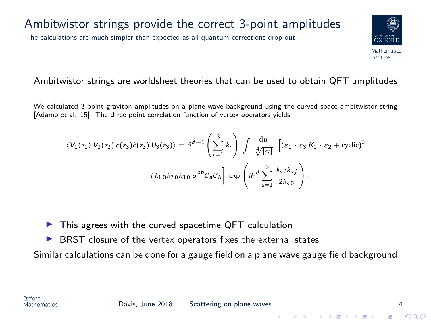#### Ambitwistor strings provide the correct 3-point amplitudes

The calculations are much simpler than expected as all quantum corrections drop out

#### Ambitwistor strings are worldsheet theories that can be used to obtain QFT amplitudes

We calculated 3-point graviton amplitudes on a plane wave background using the curved space ambitwistor string [Adamo et al. 15]. The three point correlation function of vertex operators yields

$$
\langle V_1(z_1) V_2(z_2) c(z_3) \tilde{c}(z_3) U_3(z_3) \rangle = \delta^{d-1} \left( \sum_{r=1}^3 k_r \right) \int \frac{du}{\sqrt[4]{|\gamma|}} \left[ \left( \varepsilon_1 \cdot \varepsilon_3 K_1 \cdot \varepsilon_2 + \text{cyclic} \right)^2 \right. \\
\left. - i k_1 0 k_2 0 k_3 0 \sigma^{ab} C_a C_b \right] \exp \left( i \sigma^{ij} \sum_{s=1}^3 \frac{k_s i k_s j}{2 k_s 0} \right),
$$

This agrees with the curved spacetime QFT calculation

BRST closure of the vertex operators fixes the external states

Similar calculations can be done for a gauge field on a plane wave gauge field background

 $\left\{ \begin{array}{ccc} \pm & \pm & \pm \end{array} \right.$ 

OXEOI Mathematica Institute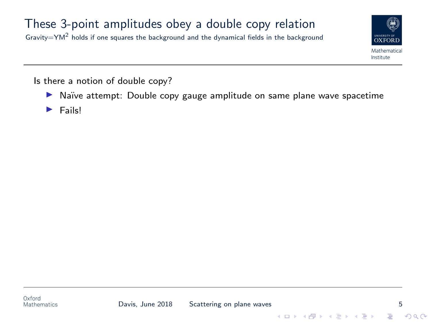## These 3-point amplitudes obey a double copy relation

Gravity=YM<sup>2</sup> holds if one squares the background and the dynamical fields in the background



Is there a notion of double copy?

- ▶ Naïve attempt: Double copy gauge amplitude on same plane wave spacetime
- $\blacktriangleright$  Fails!



 $\left\{ \begin{array}{ccc} \pm & \pm & \pm \end{array} \right.$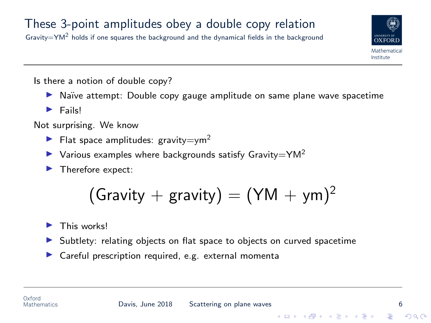Gravity=YM<sup>2</sup> holds if one squares the background and the dynamical fields in the background



Is there a notion of double copy?

- ▶ Naïve attempt: Double copy gauge amplitude on same plane wave spacetime
- $\blacktriangleright$  Fails!

Not surprising. We know

- Flat space amplitudes: gravity=ym<sup>2</sup>
- $\triangleright$  Various examples where backgrounds satisfy Gravity=YM<sup>2</sup>
- $\blacktriangleright$  Therefore expect:

$$
(\text{Gravity} + \text{gravity}) = (\text{YM} + \text{ym})^2
$$

This works!

- Subtlety: relating objects on flat space to objects on curved spacetime
- $\blacktriangleright$  Careful prescription required, e.g. external momenta

**KORK STRAIN A BAR SHOP**